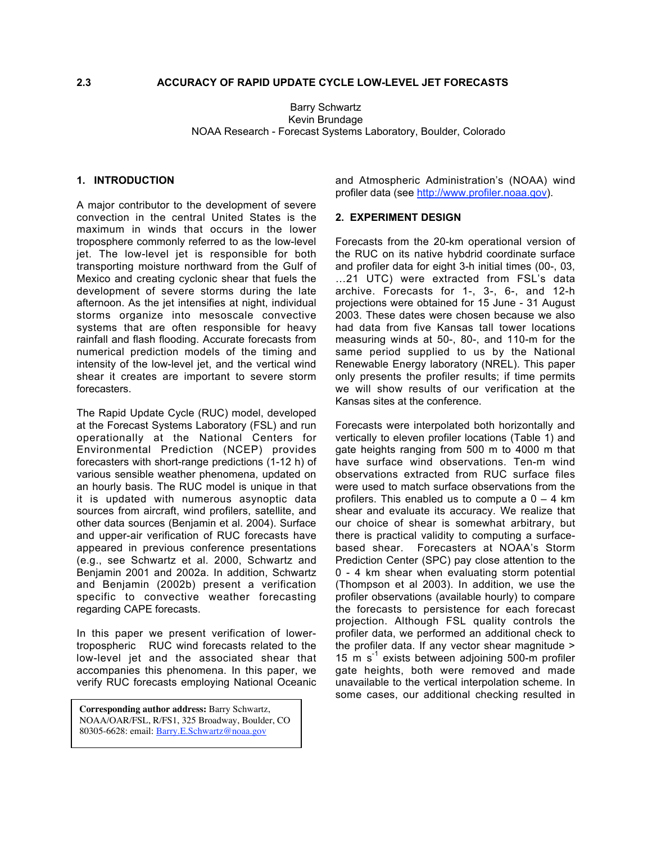## **2.3 ACCURACY OF RAPID UPDATE CYCLE LOW-LEVEL JET FORECASTS**

Barry Schwartz Kevin Brundage NOAA Research - Forecast Systems Laboratory, Boulder, Colorado

#### **1. INTRODUCTION**

A major contributor to the development of severe convection in the central United States is the maximum in winds that occurs in the lower troposphere commonly referred to as the low-level jet. The low-level jet is responsible for both transporting moisture northward from the Gulf of Mexico and creating cyclonic shear that fuels the development of severe storms during the late afternoon. As the jet intensifies at night, individual storms organize into mesoscale convective systems that are often responsible for heavy rainfall and flash flooding. Accurate forecasts from numerical prediction models of the timing and intensity of the low-level jet, and the vertical wind shear it creates are important to severe storm forecasters.

The Rapid Update Cycle (RUC) model, developed at the Forecast Systems Laboratory (FSL) and run operationally at the National Centers for Environmental Prediction (NCEP) provides forecasters with short-range predictions (1-12 h) of various sensible weather phenomena, updated on an hourly basis. The RUC model is unique in that it is updated with numerous asynoptic data sources from aircraft, wind profilers, satellite, and other data sources (Benjamin et al. 2004). Surface and upper-air verification of RUC forecasts have appeared in previous conference presentations (e.g., see Schwartz et al. 2000, Schwartz and Benjamin 2001 and 2002a. In addition, Schwartz and Benjamin (2002b) present a verification specific to convective weather forecasting regarding CAPE forecasts.

In this paper we present verification of lowertropospheric RUC wind forecasts related to the low-level jet and the associated shear that accompanies this phenomena. In this paper, we verify RUC forecasts employing National Oceanic

**Corresponding author address:** Barry Schwartz, NOAA/OAR/FSL, R/FS1, 325 Broadway, Boulder, CO 80305-6628: email: Barry.E.Schwartz@noaa.gov

and Atmospheric Administration's (NOAA) wind profiler data (see http://www.profiler.noaa.gov).

# **2. EXPERIMENT DESIGN**

Kansas sites at the conference.

Forecasts from the 20-km operational version of the RUC on its native hybdrid coordinate surface and profiler data for eight 3-h initial times (00-, 03, …21 UTC) were extracted from FSL's data archive. Forecasts for 1-, 3-, 6-, and 12-h projections were obtained for 15 June - 31 August 2003. These dates were chosen because we also had data from five Kansas tall tower locations measuring winds at 50-, 80-, and 110-m for the same period supplied to us by the National Renewable Energy laboratory (NREL). This paper only presents the profiler results; if time permits we will show results of our verification at the

Forecasts were interpolated both horizontally and vertically to eleven profiler locations (Table 1) and gate heights ranging from 500 m to 4000 m that have surface wind observations. Ten-m wind observations extracted from RUC surface files were used to match surface observations from the profilers. This enabled us to compute a  $0 - 4$  km shear and evaluate its accuracy. We realize that our choice of shear is somewhat arbitrary, but there is practical validity to computing a surfacebased shear. Forecasters at NOAA's Storm Prediction Center (SPC) pay close attention to the 0 - 4 km shear when evaluating storm potential (Thompson et al 2003). In addition, we use the profiler observations (available hourly) to compare the forecasts to persistence for each forecast projection. Although FSL quality controls the profiler data, we performed an additional check to the profiler data. If any vector shear magnitude > 15 m s<sup>-1</sup> exists between adjoining 500-m profiler gate heights, both were removed and made unavailable to the vertical interpolation scheme. In some cases, our additional checking resulted in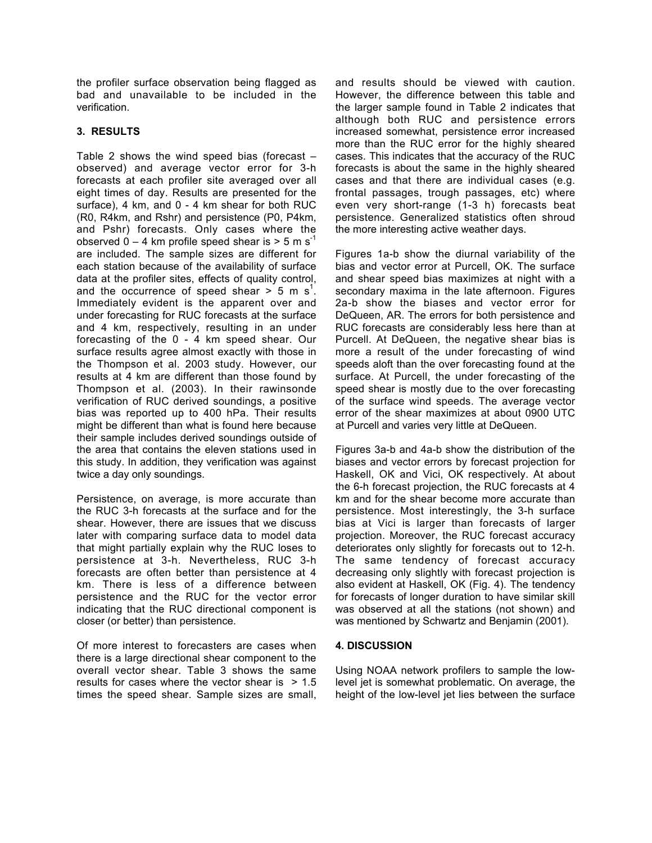the profiler surface observation being flagged as bad and unavailable to be included in the verification.

## **3. RESULTS**

Table 2 shows the wind speed bias (forecast – observed) and average vector error for 3-h forecasts at each profiler site averaged over all eight times of day. Results are presented for the surface), 4 km, and 0 - 4 km shear for both RUC (R0, R4km, and Rshr) and persistence (P0, P4km, and Pshr) forecasts. Only cases where the observed  $0 - 4$  km profile speed shear is  $> 5$  m s<sup>-1</sup> are included. The sample sizes are different for each station because of the availability of surface data at the profiler sites, effects of quality control, and the occurrence of speed shear  $>$  5 m s<sup>1</sup>. Immediately evident is the apparent over and under forecasting for RUC forecasts at the surface and 4 km, respectively, resulting in an under forecasting of the 0 - 4 km speed shear. Our surface results agree almost exactly with those in the Thompson et al. 2003 study. However, our results at 4 km are different than those found by Thompson et al. (2003). In their rawinsonde verification of RUC derived soundings, a positive bias was reported up to 400 hPa. Their results might be different than what is found here because their sample includes derived soundings outside of the area that contains the eleven stations used in this study. In addition, they verification was against twice a day only soundings.

Persistence, on average, is more accurate than the RUC 3-h forecasts at the surface and for the shear. However, there are issues that we discuss later with comparing surface data to model data that might partially explain why the RUC loses to persistence at 3-h. Nevertheless, RUC 3-h forecasts are often better than persistence at 4 km. There is less of a difference between persistence and the RUC for the vector error indicating that the RUC directional component is closer (or better) than persistence.

Of more interest to forecasters are cases when there is a large directional shear component to the overall vector shear. Table 3 shows the same results for cases where the vector shear is  $> 1.5$ times the speed shear. Sample sizes are small, and results should be viewed with caution. However, the difference between this table and the larger sample found in Table 2 indicates that although both RUC and persistence errors increased somewhat, persistence error increased more than the RUC error for the highly sheared cases. This indicates that the accuracy of the RUC forecasts is about the same in the highly sheared cases and that there are individual cases (e.g. frontal passages, trough passages, etc) where even very short-range (1-3 h) forecasts beat persistence. Generalized statistics often shroud the more interesting active weather days.

Figures 1a-b show the diurnal variability of the bias and vector error at Purcell, OK. The surface and shear speed bias maximizes at night with a secondary maxima in the late afternoon. Figures 2a-b show the biases and vector error for DeQueen, AR. The errors for both persistence and RUC forecasts are considerably less here than at Purcell. At DeQueen, the negative shear bias is more a result of the under forecasting of wind speeds aloft than the over forecasting found at the surface. At Purcell, the under forecasting of the speed shear is mostly due to the over forecasting of the surface wind speeds. The average vector error of the shear maximizes at about 0900 UTC at Purcell and varies very little at DeQueen.

Figures 3a-b and 4a-b show the distribution of the biases and vector errors by forecast projection for Haskell, OK and Vici, OK respectively. At about the 6-h forecast projection, the RUC forecasts at 4 km and for the shear become more accurate than persistence. Most interestingly, the 3-h surface bias at Vici is larger than forecasts of larger projection. Moreover, the RUC forecast accuracy deteriorates only slightly for forecasts out to 12-h. The same tendency of forecast accuracy decreasing only slightly with forecast projection is also evident at Haskell, OK (Fig. 4). The tendency for forecasts of longer duration to have similar skill was observed at all the stations (not shown) and was mentioned by Schwartz and Benjamin (2001).

#### **4. DISCUSSION**

Using NOAA network profilers to sample the lowlevel jet is somewhat problematic. On average, the height of the low-level jet lies between the surface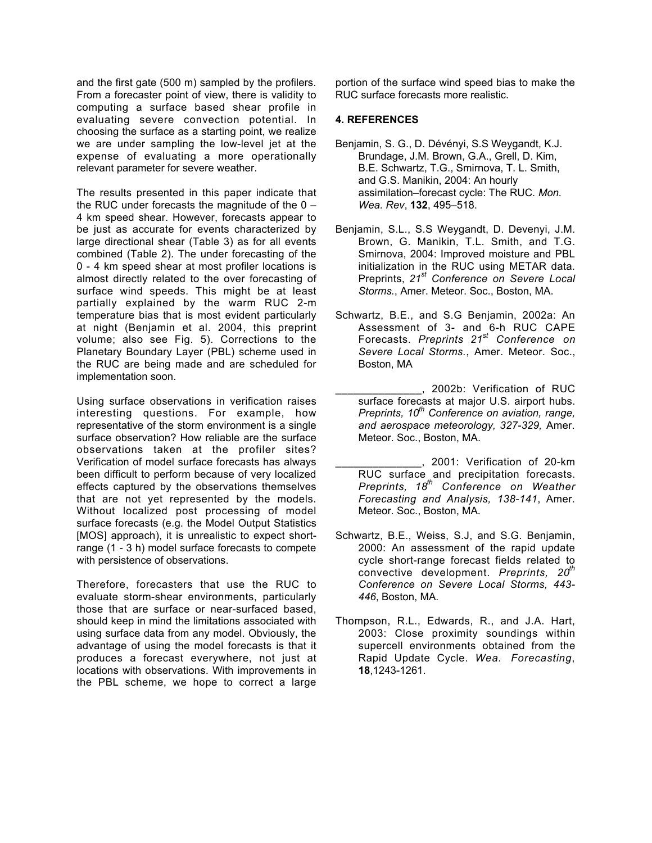and the first gate (500 m) sampled by the profilers. From a forecaster point of view, there is validity to computing a surface based shear profile in evaluating severe convection potential. In choosing the surface as a starting point, we realize we are under sampling the low-level jet at the expense of evaluating a more operationally relevant parameter for severe weather.

The results presented in this paper indicate that the RUC under forecasts the magnitude of the  $0 -$ 4 km speed shear. However, forecasts appear to be just as accurate for events characterized by large directional shear (Table 3) as for all events combined (Table 2). The under forecasting of the 0 - 4 km speed shear at most profiler locations is almost directly related to the over forecasting of surface wind speeds. This might be at least partially explained by the warm RUC 2-m temperature bias that is most evident particularly at night (Benjamin et al. 2004, this preprint volume; also see Fig. 5). Corrections to the Planetary Boundary Layer (PBL) scheme used in the RUC are being made and are scheduled for implementation soon.

Using surface observations in verification raises interesting questions. For example, how representative of the storm environment is a single surface observation? How reliable are the surface observations taken at the profiler sites? Verification of model surface forecasts has always been difficult to perform because of very localized effects captured by the observations themselves that are not yet represented by the models. Without localized post processing of model surface forecasts (e.g. the Model Output Statistics [MOS] approach), it is unrealistic to expect shortrange (1 - 3 h) model surface forecasts to compete with persistence of observations.

Therefore, forecasters that use the RUC to evaluate storm-shear environments, particularly those that are surface or near-surfaced based, should keep in mind the limitations associated with using surface data from any model. Obviously, the advantage of using the model forecasts is that it produces a forecast everywhere, not just at locations with observations. With improvements in the PBL scheme, we hope to correct a large

portion of the surface wind speed bias to make the RUC surface forecasts more realistic.

#### **4. REFERENCES**

- Benjamin, S. G., D. Dévényi, S.S Weygandt, K.J. Brundage, J.M. Brown, G.A., Grell, D. Kim, B.E. Schwartz, T.G., Smirnova, T. L. Smith, and G.S. Manikin, 2004: An hourly assimilation–forecast cycle: The RUC*. Mon. Wea. Rev*, **132**, 495–518.
- Benjamin, S.L., S.S Weygandt, D. Devenyi, J.M. Brown, G. Manikin, T.L. Smith, and T.G. Smirnova, 2004: Improved moisture and PBL initialization in the RUC using METAR data. Preprints, *21st Conference on Severe Local Storms.*, Amer. Meteor. Soc., Boston, MA.
- Schwartz, B.E., and S.G Benjamin, 2002a: An Assessment of 3- and 6-h RUC CAPE Forecasts. *Preprints 21st Conference on Severe Local Storms.*, Amer. Meteor. Soc., Boston, MA
	- \_\_, 2002b: Verification of RUC surface forecasts at major U.S. airport hubs. *Preprints, 10<sup>th</sup> Conference on aviation, range, and aerospace meteorology, 327-329,* Amer. Meteor. Soc., Boston, MA.
	- \_\_\_\_\_\_\_\_\_\_\_\_\_\_, 2001: Verification of 20-km RUC surface and precipitation forecasts. *Preprints, 18th Conference on Weather Forecasting and Analysis, 138-141*, Amer. Meteor. Soc., Boston, MA*.*
- Schwartz, B.E., Weiss, S.J, and S.G. Benjamin, 2000: An assessment of the rapid update cycle short-range forecast fields related to convective development. *Preprints, 20th Conference on Severe Local Storms, 443- 446*, Boston, MA*.*
- Thompson, R.L., Edwards, R., and J.A. Hart, 2003: Close proximity soundings within supercell environments obtained from the Rapid Update Cycle. *Wea. Forecasting*, **18**,1243-1261.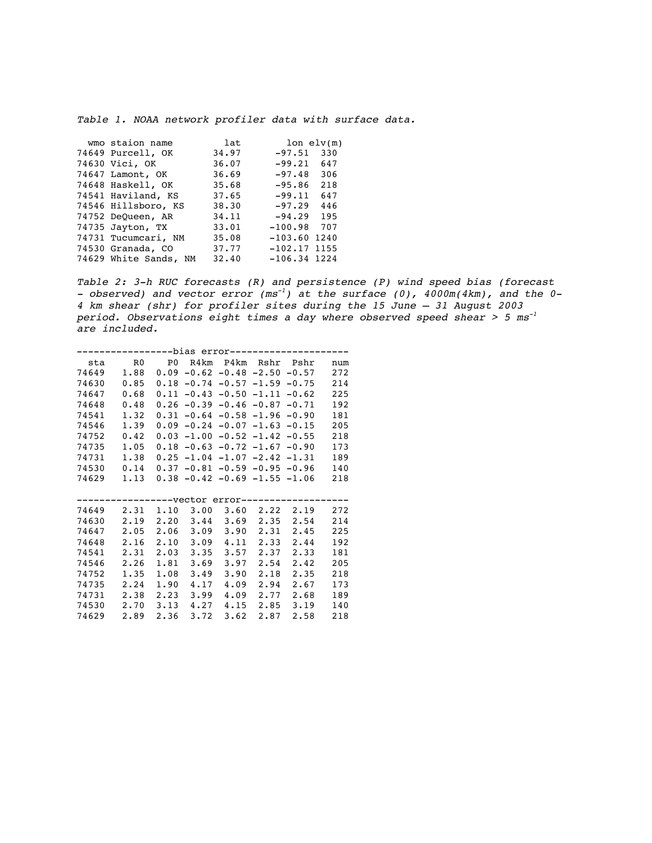Table 1. NOAA network profiler data with surface data.

| wmo staion name       | lat   | $lon$ elv(m)     |
|-----------------------|-------|------------------|
| 74649 Purcell, OK     | 34.97 | $-97.51$<br>330  |
| 74630 Vici, OK        | 36.07 | $-99.21$<br>647  |
| 74647 Lamont, OK      | 36.69 | $-97.48$<br>306  |
| 74648 Haskell, OK     | 35.68 | 218<br>$-95.86$  |
| 74541 Haviland, KS    | 37.65 | $-99.11$<br>647  |
| 74546 Hillsboro, KS   | 38.30 | $-97.29$<br>446  |
| 74752 DeQueen, AR     | 34.11 | $-94.29$ 195     |
| 74735 Jayton, TX      | 33.01 | $-100.98$<br>707 |
| 74731 Tucumcari, NM   | 35.08 | $-103.60$ 1240   |
| 74530 Granada, CO     | 37.77 | $-102.17$ 1155   |
| 74629 White Sands, NM | 32.40 | $-106.34$ 1224   |
|                       |       |                  |

Table 2: 3-h RUC forecasts (R) and persistence (P) wind speed bias (forecast - observed) and vector error  $(m s^{-1})$  at the surface (0),  $4000m(4km)$ , and the 0-4 km shear (shr) for profiler sites during the 15 June – 31 August 2003 period. Observations eight times a day where observed speed shear  $> 5$  ms<sup>-1</sup> are included.

| --------bias error------------- |                                   |      |      |                              |      |                                            |     |  |
|---------------------------------|-----------------------------------|------|------|------------------------------|------|--------------------------------------------|-----|--|
|                                 | sta – RO – PO R4km P4km Rshr Pshr |      |      |                              |      |                                            | num |  |
|                                 | 74649 1.88                        |      |      |                              |      | $0.09 - 0.62 - 0.48 - 2.50 - 0.57$         | 272 |  |
| 74630                           | 0.85                              |      |      |                              |      | $0.18 - 0.74 - 0.57 - 1.59 - 0.75$         | 214 |  |
| 74647                           | 0.68                              |      |      |                              |      | $0.11 - 0.43 - 0.50 - 1.11 - 0.62$         | 225 |  |
| 74648                           | 0.48                              |      |      |                              |      | $0.26 - 0.39 - 0.46 - 0.87 - 0.71$         | 192 |  |
| 74541                           | 1.32                              |      |      |                              |      | $0.31 - 0.64 - 0.58 - 1.96 - 0.90$         | 181 |  |
| 74546                           | 1.39                              |      |      |                              |      | $0.09 - 0.24 - 0.07 - 1.63 - 0.15$         | 205 |  |
| 74752                           | 0.42                              |      |      |                              |      | $0.03 - 1.00 - 0.52 - 1.42 - 0.55$         | 218 |  |
| 74735                           | 1.05                              |      |      |                              |      | $0.18 - 0.63 - 0.72 - 1.67 - 0.90$         | 173 |  |
| 74731                           | 1.38                              |      |      |                              |      | $0.25 - 1.04 - 1.07 - 2.42 - 1.31$         | 189 |  |
|                                 | 74530 0.14                        |      |      |                              |      | $0.37 - 0.81 - 0.59 - 0.95 - 0.96$         | 140 |  |
| 74629                           | 1.13                              |      |      |                              |      | $0.38 - 0.42 - 0.69 - 1.55 - 1.06$         | 218 |  |
|                                 |                                   |      |      |                              |      |                                            |     |  |
|                                 |                                   |      |      |                              |      | ----------Vector error-------------------- |     |  |
| 74649                           | 2.31                              | 1,10 |      | $3.00 \quad 3.60 \quad 2.22$ |      | 2.19                                       | 272 |  |
| 74630                           | 2.19                              |      |      |                              |      | $2.20$ $3.44$ $3.69$ $2.35$ $2.54$         | 214 |  |
| 74647                           | 2.05                              | 2.06 | 3.09 | 3.90                         | 2.31 | 2.45                                       | 225 |  |
| 74648                           | 2.16                              | 2.10 | 3.09 | 4.11                         |      | $2.33 \quad 2.44$                          | 192 |  |
| 74541                           | 2.31                              | 2.03 | 3.35 | 3.57                         | 2.37 | 2.33                                       | 181 |  |
| 74546                           | 2.26                              | 1.81 | 3.69 | 3.97                         |      | $2.54$ $2.42$                              | 205 |  |
| 74752                           | 1.35                              | 1.08 | 3.49 | 3.90                         | 2.18 | 2.35                                       | 218 |  |
| 74735                           | 2.24                              | 1.90 | 4.17 | 4.09                         | 2.94 | 2.67                                       | 173 |  |
| 74731                           | 2.38                              | 2.23 | 3.99 | 4.09                         | 2.77 | 2.68                                       | 189 |  |
| 74530                           | 2.70                              | 3.13 | 4.27 | 4.15                         | 2.85 | 3.19                                       | 140 |  |
| 74629                           | 2.89                              | 2.36 | 3.72 | 3.62                         | 2,87 | 2.58                                       | 218 |  |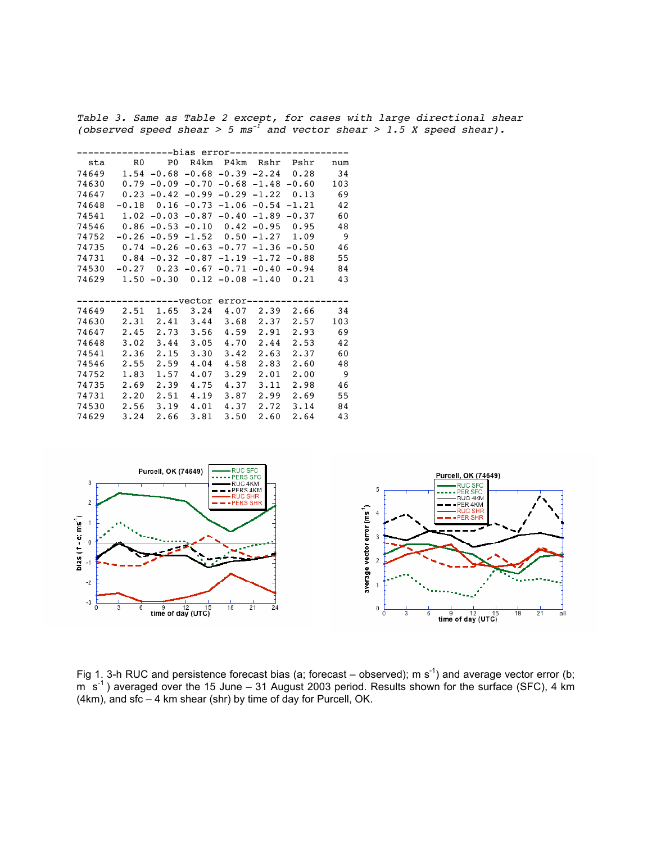Table 3. Same as Table 2 except, for cases with large directional shear (observed speed shear > 5 ms $^{-1}$  and vector shear > 1.5 X speed shear).

| --------bias error------------- |                                                |      |               |               |      |                                               |     |
|---------------------------------|------------------------------------------------|------|---------------|---------------|------|-----------------------------------------------|-----|
|                                 | sta – RO – PO R4km P4km Rshr Pshr              |      |               |               |      |                                               | num |
|                                 | $74649$ 1.54 -0.68 -0.68 -0.39 -2.24 0.28      |      |               |               |      |                                               | 34  |
| 74630                           | $0.79$ -0.09 -0.70 -0.68 -1.48 -0.60           |      |               |               |      |                                               | 103 |
| 74647                           | $0.23$ -0.42 -0.99 -0.29 -1.22 0.13            |      |               |               |      |                                               | 69  |
| 74648                           |                                                |      |               |               |      | $-0.18$ 0.16 $-0.73$ $-1.06$ $-0.54$ $-1.21$  | 42  |
| 74541                           |                                                |      |               |               |      | $1.02 -0.03 -0.87 -0.40 -1.89 -0.37$          | 60  |
| 74546                           |                                                |      |               |               |      | $0.86 - 0.53 - 0.10$ $0.42 - 0.95$ $0.95$     | 48  |
| 74752                           |                                                |      |               |               |      | $-0.26$ $-0.59$ $-1.52$ $0.50$ $-1.27$ $1.09$ | - 9 |
| 74735                           | $0.74$ $-0.26$ $-0.63$ $-0.77$ $-1.36$ $-0.50$ |      |               |               |      |                                               | 46  |
|                                 | $74731$ 0.84 -0.32 -0.87 -1.19 -1.72 -0.88     |      |               |               |      |                                               | 55  |
| 74530                           | $-0.27$ $0.23$ $-0.67$ $-0.71$ $-0.40$ $-0.94$ |      |               |               |      |                                               | 84  |
| 74629                           | $1.50 - 0.30$ $0.12 - 0.08 - 1.40$ $0.21$      |      |               |               |      |                                               | 43  |
|                                 |                                                |      |               |               |      |                                               |     |
|                                 |                                                |      |               |               |      | ----------Vector error-------------------     |     |
| 74649                           | 2.51                                           |      |               |               |      | $1.65$ $3.24$ $4.07$ $2.39$ $2.66$            | 34  |
| 74630                           | 2.31 2.41 3.44 3.68 2.37 2.57                  |      |               |               |      |                                               | 103 |
| 74647                           | 2.45                                           |      | $2.73$ $3.56$ | 4.59          | 2.91 | 2.93                                          | 69  |
| 74648                           | $3.02$ $3.44$ $3.05$ $4.70$                    |      |               |               | 2.44 | 2.53                                          | 42  |
| 74541                           | 2.36                                           | 2.15 | 3.30          | 3.42          | 2.63 | 2.37                                          | 60  |
| 74546                           | 2.55                                           | 2.59 |               | $4.04$ $4.58$ |      | 2.83 2.60                                     | 48  |
| 74752                           | 1.83                                           | 1.57 | 4.07          | 3.29          | 2.01 | 2.00                                          | - 9 |
| 74735                           | 2.69                                           | 2.39 | 4.75          | 4.37          |      | $3.11 \quad 2.98$                             | 46  |
| 74731                           | 2.20                                           | 2.51 | 4.19          | 3.87          | 2.99 | 2.69                                          | 55  |
| 74530                           | 2.56                                           | 3.19 | 4.01          | 4.37          | 2.72 | 3.14                                          | 84  |
| 74629                           | 3.24                                           | 2.66 | 3.81          | 3.50          | 2.60 | 2.64                                          | 43  |



Fig 1. 3-h RUC and persistence forecast bias (a; forecast – observed); m s<sup>-1</sup>) and average vector error (b;  $m \, s^{-1}$ ) averaged over the 15 June – 31 August 2003 period. Results shown for the surface (SFC), 4 km  $(4km)$ , and sfc – 4 km shear (shr) by time of day for Purcell, OK.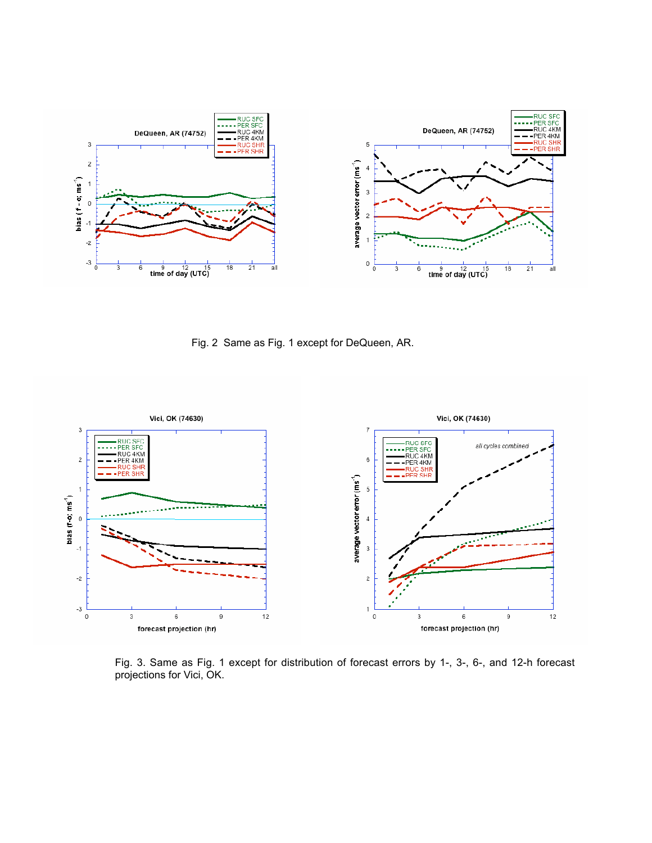

Fig. 2 Same as Fig. 1 except for DeQueen, AR.



Fig. 3. Same as Fig. 1 except for distribution of forecast errors by 1-, 3-, 6-, and 12-h forecast projections for Vici, OK.